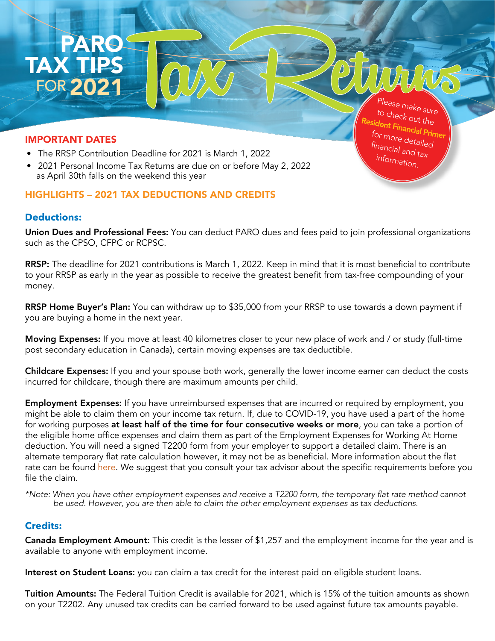#### IMPORTANT DATES

PAR

TAX TIPS

FOR 2021

- The RRSP Contribution Deadline for 2021 is March 1, 2022
- 2021 Personal Income Tax Returns are due on or before May 2, 2022 as April 30th falls on the weekend this year

# HIGHLIGHTS – 2021 TAX DEDUCTIONS AND CREDITS

## **Deductions:**

Union Dues and Professional Fees: You can deduct PARO dues and fees paid to join professional organizations such as the CPSO, CFPC or RCPSC.

RRSP: The deadline for 2021 contributions is March 1, 2022. Keep in mind that it is most beneficial to contribute to your RRSP as early in the year as possible to receive the greatest benefit from tax-free compounding of your money.

RRSP Home Buyer's Plan: You can withdraw up to \$35,000 from your RRSP to use towards a down payment if you are buying a home in the next year.

Moving Expenses: If you move at least 40 kilometres closer to your new place of work and / or study (full-time post secondary education in Canada), certain moving expenses are tax deductible.

Childcare Expenses: If you and your spouse both work, generally the lower income earner can deduct the costs incurred for childcare, though there are maximum amounts per child.

**Employment Expenses:** If you have unreimbursed expenses that are incurred or required by employment, you might be able to claim them on your income tax return. If, due to COVID-19, you have used a part of the home for working purposes at least half of the time for four consecutive weeks or more, you can take a portion of the eligible home office expenses and claim them as part of the Employment Expenses for Working At Home deduction. You will need a signed T2200 form from your employer to support a detailed claim. There is an alternate temporary flat rate calculation however, it may not be as beneficial. More information about the flat rate can be found [here](https://www.canada.ca/en/revenue-agency/services/tax/individuals/topics/about-your-tax-return/tax-return/completing-a-tax-return/deductions-credits-expenses/line-22900-other-employment-expenses/work-space-home-expenses/who-claim/temporary-flat-rate.html). We suggest that you consult your tax advisor about the specific requirements before you file the claim.

\*Note: When you have other employment expenses and receive a T2200 form, the temporary flat rate method *cannot be used. However, you are then able to claim the other employment expenses as tax deductions.* 

### **Credits:**

Canada Employment Amount: This credit is the lesser of \$1,257 and the employment income for the year and is available to anyone with employment income.

Interest on Student Loans: you can claim a tax credit for the interest paid on eligible student loans.

Tuition Amounts: The Federal Tuition Credit is available for 2021, which is 15% of the tuition amounts as shown on your T2202. Any unused tax credits can be carried forward to be used against future tax amounts payable.

Please make sure to check out the [Resident Financial Primer](https://myparo.ca/financial-primer/) for more detailed financial and tax information.